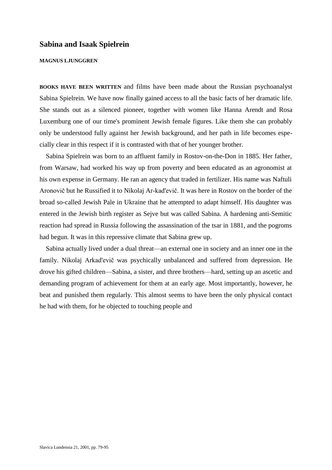## **Sabina and Isaak Spielrein**

## **MAGNUS LJUNGGREN**

**BOOKS HAVE BEEN WRITTEN** and films have been made about the Russian psychoanalyst Sabina Spielrein. We have now finally gained access to all the basic facts of her dramatic life. She stands out as a silenced pioneer, together with women like Hanna Arendt and Rosa Luxemburg one of our time's prominent Jewish female figures. Like them she can probably only be understood fully against her Jewish background, and her path in life becomes especially clear in this respect if it is contrasted with that of her younger brother.

Sabina Spielrein was born to an affluent family in Rostov-on-the-Don in 1885. Her father, from Warsaw, had worked his way up from poverty and been educated as an agronomist at his own expense in Germany. He ran an agency that traded in fertilizer. His name was Naftuli Aronovič but he Russified it to Nikolaj Ar-kad'evič. It was here in Rostov on the border of the broad so-called Jewish Pale in Ukraine that he attempted to adapt himself. His daughter was entered in the Jewish birth register as Sejve but was called Sabina. A hardening anti-Semitic reaction had spread in Russia following the assassination of the tsar in 1881, and the pogroms had begun. It was in this repressive climate that Sabina grew up.

Sabina actually lived under a dual threat—an external one in society and an inner one in the family. Nikolaj Arkad'evič was psychically unbalanced and suffered from depression. He drove his gifted children—Sabina, a sister, and three brothers—hard, setting up an ascetic and demanding program of achievement for them at an early age. Most importantly, however, he beat and punished them regularly. This almost seems to have been the only physical contact he had with them, for he objected to touching people and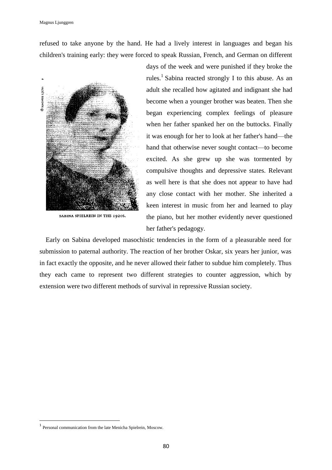refused to take anyone by the hand. He had a lively interest in languages and began his children's training early: they were forced to speak Russian, French, and German on different



SABINA SPIELREIN IN THE 1920S.

days of the week and were punished if they broke the rules.<sup>1</sup> Sabina reacted strongly I to this abuse. As an adult she recalled how agitated and indignant she had become when a younger brother was beaten. Then she began experiencing complex feelings of pleasure when her father spanked her on the buttocks. Finally it was enough for her to look at her father's hand—the hand that otherwise never sought contact—to become excited. As she grew up she was tormented by compulsive thoughts and depressive states. Relevant as well here is that she does not appear to have had any close contact with her mother. She inherited a keen interest in music from her and learned to play the piano, but her mother evidently never questioned her father's pedagogy.

Early on Sabina developed masochistic tendencies in the form of a pleasurable need for submission to paternal authority. The reaction of her brother Oskar, six years her junior, was in fact exactly the opposite, and he never allowed their father to subdue him completely. Thus they each came to represent two different strategies to counter aggression, which by extension were two different methods of survival in repressive Russian society.

 $\overline{\phantom{a}}$ 

<sup>1</sup> Personal communication from the late Menicha Spielrein, Moscow.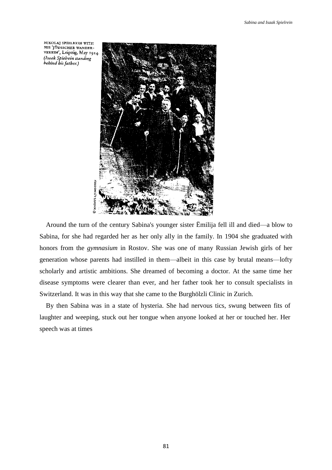NIKOLAJ SPIELREIN WITH HIS 'JÜDISCHER WANDER-VEREIN', Leipzig, May 1914. (Isaak Spielrein standing behind his father.)



Around the turn of the century Sabina's younger sister Ëmilija fell ill and died—a blow to Sabina, for she had regarded her as her only ally in the family. In 1904 she graduated with honors from the *gymnasium* in Rostov. She was one of many Russian Jewish girls of her generation whose parents had instilled in them—albeit in this case by brutal means—lofty scholarly and artistic ambitions. She dreamed of becoming a doctor. At the same time her disease symptoms were clearer than ever, and her father took her to consult specialists in Switzerland. It was in this way that she came to the Burghölzli Clinic in Zurich.

By then Sabina was in a state of hysteria. She had nervous tics, swung between fits of laughter and weeping, stuck out her tongue when anyone looked at her or touched her. Her speech was at times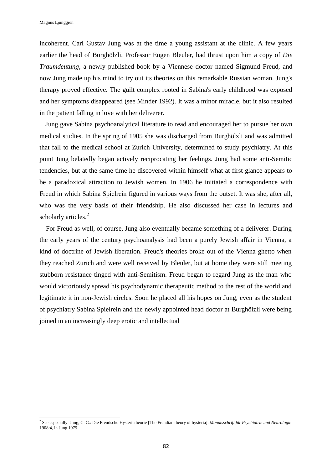incoherent. Carl Gustav Jung was at the time a young assistant at the clinic. A few years earlier the head of Burghölzli, Professor Eugen Bleuler, had thrust upon him a copy of *Die Traumdeutung,* a newly published book by a Viennese doctor named Sigmund Freud, and now Jung made up his mind to try out its theories on this remarkable Russian woman. Jung's therapy proved effective. The guilt complex rooted in Sabina's early childhood was exposed and her symptoms disappeared (see Minder 1992). It was a minor miracle, but it also resulted in the patient falling in love with her deliverer.

Jung gave Sabina psychoanalytical literature to read and encouraged her to pursue her own medical studies. In the spring of 1905 she was discharged from Burghölzli and was admitted that fall to the medical school at Zurich University, determined to study psychiatry. At this point Jung belatedly began actively reciprocating her feelings. Jung had some anti-Semitic tendencies, but at the same time he discovered within himself what at first glance appears to be a paradoxical attraction to Jewish women. In 1906 he initiated a correspondence with Freud in which Sabina Spielrein figured in various ways from the outset. It was she, after all, who was the very basis of their friendship. He also discussed her case in lectures and scholarly articles.<sup>2</sup>

For Freud as well, of course, Jung also eventually became something of a deliverer. During the early years of the century psychoanalysis had been a purely Jewish affair in Vienna, a kind of doctrine of Jewish liberation. Freud's theories broke out of the Vienna ghetto when they reached Zurich and were well received by Bleuler, but at home they were still meeting stubborn resistance tinged with anti-Semitism. Freud began to regard Jung as the man who would victoriously spread his psychodynamic therapeutic method to the rest of the world and legitimate it in non-Jewish circles. Soon he placed all his hopes on Jung, even as the student of psychiatry Sabina Spielrein and the newly appointed head doctor at Burghölzli were being joined in an increasingly deep erotic and intellectual

 2 See especially: Jung, C. G.: Die Freudsche Hysterietheorie [The Freudian theory of hysteria]. *Monatsschrift für Psychiatrie und Neurologie* 1908:4, in Jung 1979.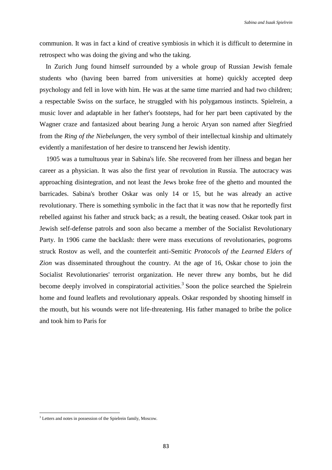communion. It was in fact a kind of creative symbiosis in which it is difficult to determine in retrospect who was doing the giving and who the taking.

In Zurich Jung found himself surrounded by a whole group of Russian Jewish female students who (having been barred from universities at home) quickly accepted deep psychology and fell in love with him. He was at the same time married and had two children; a respectable Swiss on the surface, he struggled with his polygamous instincts. Spielrein, a music lover and adaptable in her father's footsteps, had for her part been captivated by the Wagner craze and fantasized about bearing Jung a heroic Aryan son named after Siegfried from the *Ring of the Niebelungen,* the very symbol of their intellectual kinship and ultimately evidently a manifestation of her desire to transcend her Jewish identity.

1905 was a tumultuous year in Sabina's life. She recovered from her illness and began her career as a physician. It was also the first year of revolution in Russia. The autocracy was approaching disintegration, and not least the Jews broke free of the ghetto and mounted the barricades. Sabina's brother Oskar was only 14 or 15, but he was already an active revolutionary. There is something symbolic in the fact that it was now that he reportedly first rebelled against his father and struck back; as a result, the beating ceased. Oskar took part in Jewish self-defense patrols and soon also became a member of the Socialist Revolutionary Party. In 1906 came the backlash: there were mass executions of revolutionaries, pogroms struck Rostov as well, and the counterfeit anti-Semitic *Protocols of the Learned Elders of Zion* was disseminated throughout the country. At the age of 16, Oskar chose to join the Socialist Revolutionaries' terrorist organization. He never threw any bombs, but he did become deeply involved in conspiratorial activities.<sup>3</sup> Soon the police searched the Spielrein home and found leaflets and revolutionary appeals. Oskar responded by shooting himself in the mouth, but his wounds were not life-threatening. His father managed to bribe the police and took him to Paris for

<sup>3</sup> Letters and notes in possession of the Spielrein family, Moscow.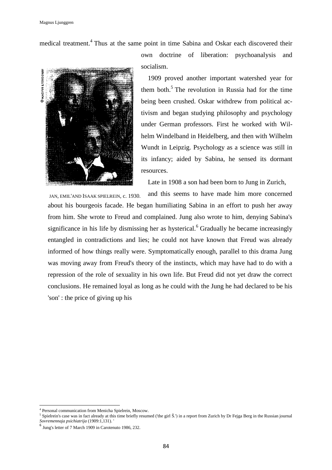medical treatment.<sup>4</sup> Thus at the same point in time Sabina and Oskar each discovered their



own doctrine of liberation: psychoanalysis and socialism.

1909 proved another important watershed year for them both.<sup>5</sup> The revolution in Russia had for the time being been crushed. Oskar withdrew from political activism and began studying philosophy and psychology under German professors. First he worked with Wilhelm Windelband in Heidelberg, and then with Wilhelm Wundt in Leipzig. Psychology as a science was still in its infancy; aided by Sabina, he sensed its dormant resources.

Late in 1908 a son had been born to Jung in Zurich,

and this seems to have made him more concerned about his bourgeois facade. He began humiliating Sabina in an effort to push her away from him. She wrote to Freud and complained. Jung also wrote to him, denying Sabina's significance in his life by dismissing her as hysterical.<sup>6</sup> Gradually he became increasingly entangled in contradictions and lies; he could not have known that Freud was already informed of how things really were. Symptomatically enough, parallel to this drama Jung was moving away from Freud's theory of the instincts, which may have had to do with a repression of the role of sexuality in his own life. But Freud did not yet draw the correct conclusions. He remained loyal as long as he could with the Jung he had declared to be his 'son' : the price of giving up his JAN, EMIL'AND ISAAK SPIELREIN, c. 1930.

l

<sup>4</sup> Personal communication from Menicha Spielrein, Moscow.

 $<sup>5</sup>$  Spielrein's case was in fact already at this time briefly resumed ('the girl  $\check{S}$ .') in a report from Zurich by Dr Fejga Berg in the Russian journal</sup> *Sovremennaja psichiatrija* (1909:1,131). '

<sup>6</sup> Jung's letter of 7 March 1909 in Carotenuto 1986, 232.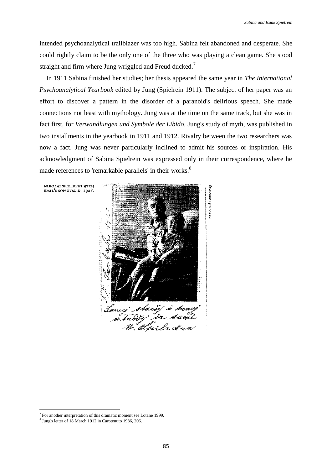intended psychoanalytical trailblazer was too high. Sabina felt abandoned and desperate. She could rightly claim to be the only one of the three who was playing a clean game. She stood straight and firm where Jung wriggled and Freud ducked.<sup>7</sup>

In 1911 Sabina finished her studies; her thesis appeared the same year in *The International Psychoanalytical Yearbook* edited by Jung (Spielrein 1911). The subject of her paper was an effort to discover a pattern in the disorder of a paranoid's delirious speech. She made connections not least with mythology. Jung was at the time on the same track, but she was in fact first, for *Verwandlungen und Symbole der Libido,* Jung's study of myth, was published in two installments in the yearbook in 1911 and 1912. Rivalry between the two researchers was now a fact. Jung was never particularly inclined to admit his sources or inspiration. His acknowledgment of Sabina Spielrein was expressed only in their correspondence, where he made references to 'remarkable parallels' in their works.<sup>8</sup>

NIKOLAJ SPIELREIN WITH ÈMIL'S SON EVAL'D, 1928.



 $\overline{\phantom{a}}$ 

<sup>&</sup>lt;sup>7</sup> For another interpretation of this dramatic moment see Lotane 1999.

<sup>&</sup>lt;sup>8</sup> Jung's letter of 18 March 1912 in Carotenuto 1986, 206.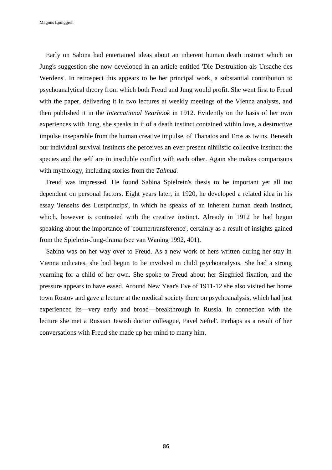Early on Sabina had entertained ideas about an inherent human death instinct which on Jung's suggestion she now developed in an article entitled 'Die Destruktion als Ursache des Werdens'. In retrospect this appears to be her principal work, a substantial contribution to psychoanalytical theory from which both Freud and Jung would profit. She went first to Freud with the paper, delivering it in two lectures at weekly meetings of the Vienna analysts, and then published it in the *International Yearbook* in 1912. Evidently on the basis of her own experiences with Jung, she speaks in it of a death instinct contained within love, a destructive impulse inseparable from the human creative impulse, of Thanatos and Eros as twins. Beneath our individual survival instincts she perceives an ever present nihilistic collective instinct: the species and the self are in insoluble conflict with each other. Again she makes comparisons with mythology, including stories from the *Talmud.*

Freud was impressed. He found Sabina Spielrein's thesis to be important yet all too dependent on personal factors. Eight years later, in 1920, he developed a related idea in his essay 'Jenseits des Lustprinzips', in which he speaks of an inherent human death instinct, which, however is contrasted with the creative instinct. Already in 1912 he had begun speaking about the importance of 'countertransference', certainly as a result of insights gained from the Spielrein-Jung-drama (see van Waning 1992, 401).

Sabina was on her way over to Freud. As a new work of hers written during her stay in Vienna indicates, she had begun to be involved in child psychoanalysis. She had a strong yearning for a child of her own. She spoke to Freud about her Siegfried fixation, and the pressure appears to have eased. Around New Year's Eve of 1911-12 she also visited her home town Rostov and gave a lecture at the medical society there on psychoanalysis, which had just experienced its—very early and broad—breakthrough in Russia. In connection with the lecture she met a Russian Jewish doctor colleague, Pavel Seftel'. Perhaps as a result of her conversations with Freud she made up her mind to marry him.

86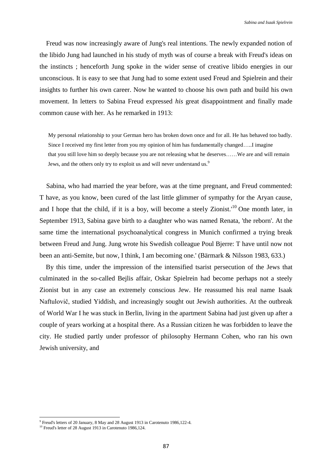Freud was now increasingly aware of Jung's real intentions. The newly expanded notion of the libido Jung had launched in his study of myth was of course a break with Freud's ideas on the instincts ; henceforth Jung spoke in the wider sense of creative libido energies in our unconscious. It is easy to see that Jung had to some extent used Freud and Spielrein and their insights to further his own career. Now he wanted to choose his own path and build his own movement. In letters to Sabina Freud expressed *his* great disappointment and finally made common cause with her. As he remarked in 1913:

My personal relationship to your German hero has broken down once and for all. He has behaved too badly. Since I received my first letter from you my opinion of him has fundamentally changed…..I imagine that you still love him so deeply because you are not releasing what he deserves……We are and will remain Jews, and the others only try to exploit us and will never understand us.<sup>9</sup>

Sabina, who had married the year before, was at the time pregnant, and Freud commented: T have, as you know, been cured of the last little glimmer of sympathy for the Aryan cause, and I hope that the child, if it is a boy, will become a steely Zionist.<sup>10</sup> One month later, in September 1913, Sabina gave birth to a daughter who was named Renata, 'the reborn'. At the same time the international psychoanalytical congress in Munich confirmed a trying break between Freud and Jung. Jung wrote his Swedish colleague Poul Bjerre: T have until now not been an anti-Semite, but now, I think, I am becoming one.' (Bärmark & Nilsson 1983, 633.)

By this time, under the impression of the intensified tsarist persecution of the Jews that culminated in the so-called Bejlis affair, Oskar Spielrein had become perhaps not a steely Zionist but in any case an extremely conscious Jew. He reassumed his real name Isaak Naftulovič, studied Yiddish, and increasingly sought out Jewish authorities. At the outbreak of World War I he was stuck in Berlin, living in the apartment Sabina had just given up after a couple of years working at a hospital there. As a Russian citizen he was forbidden to leave the city. He studied partly under professor of philosophy Hermann Cohen, who ran his own Jewish university, and

 9 Freud's letters of 20 January, 8 May and 28 August 1913 in Carotenuto 1986,122-4.

<sup>&</sup>lt;sup>10</sup> Freud's letter of 28 August 1913 in Carotenuto 1986,124.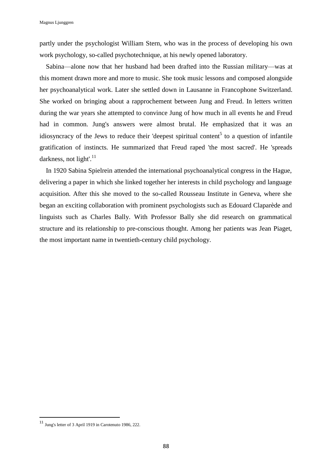partly under the psychologist William Stern, who was in the process of developing his own work psychology, so-called psychotechnique, at his newly opened laboratory.

Sabina—alone now that her husband had been drafted into the Russian military—was at this moment drawn more and more to music. She took music lessons and composed alongside her psychoanalytical work. Later she settled down in Lausanne in Francophone Switzerland. She worked on bringing about a rapprochement between Jung and Freud. In letters written during the war years she attempted to convince Jung of how much in all events he and Freud had in common. Jung's answers were almost brutal. He emphasized that it was an idiosyncracy of the Jews to reduce their 'deepest spiritual content<sup>5</sup> to a question of infantile gratification of instincts. He summarized that Freud raped 'the most sacred'. He 'spreads darkness, not light'.<sup>11</sup>

In 1920 Sabina Spielrein attended the international psychoanalytical congress in the Hague, delivering a paper in which she linked together her interests in child psychology and language acquisition. After this she moved to the so-called Rousseau Institute in Geneva, where she began an exciting collaboration with prominent psychologists such as Edouard Claparède and linguists such as Charles Bally. With Professor Bally she did research on grammatical structure and its relationship to pre-conscious thought. Among her patients was Jean Piaget, the most important name in twentieth-century child psychology.

<sup>11</sup> Jung's letter of <sup>3</sup> April 1919 in Carotenuto 1986, 222.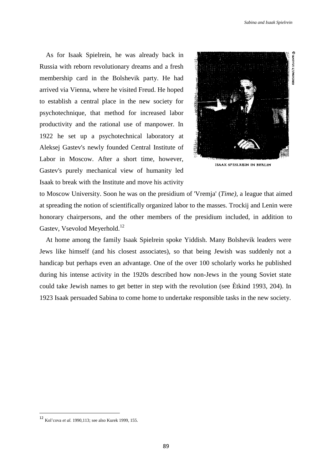As for Isaak Spielrein, he was already back in Russia with reborn revolutionary dreams and a fresh membership card in the Bolshevik party. He had arrived via Vienna, where he visited Freud. He hoped to establish a central place in the new society for psychotechnique, that method for increased labor productivity and the rational use of manpower. In 1922 he set up a psychotechnical laboratory at Aleksej Gastev's newly founded Central Institute of Labor in Moscow. After a short time, however, Gastev's purely mechanical view of humanity led Isaak to break with the Institute and move his activity



**ISAAK SPIELREIN IN BERLIN** 

to Moscow University. Soon he was on the presidium of 'Vremja' (*Time),* a league that aimed at spreading the notion of scientifically organized labor to the masses. Trockij and Lenin were honorary chairpersons, and the other members of the presidium included, in addition to Gastev, Vsevolod Meyerhold.<sup>12</sup>

At home among the family Isaak Spielrein spoke Yiddish. Many Bolshevik leaders were Jews like himself (and his closest associates), so that being Jewish was suddenly not a handicap but perhaps even an advantage. One of the over 100 scholarly works he published during his intense activity in the 1920s described how non-Jews in the young Soviet state could take Jewish names to get better in step with the revolution (see Ètkind 1993, 204). In 1923 Isaak persuaded Sabina to come home to undertake responsible tasks in the new society.

<sup>12</sup> Kol'cova *et al.* 1990,113; see also Kurek 1999, 155.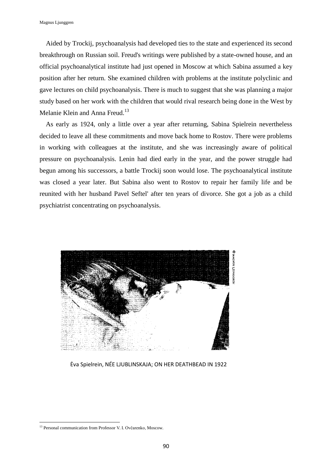Aided by Trockij, psychoanalysis had developed ties to the state and experienced its second breakthrough on Russian soil. Freud's writings were published by a state-owned house, and an official psychoanalytical institute had just opened in Moscow at which Sabina assumed a key position after her return. She examined children with problems at the institute polyclinic and gave lectures on child psychoanalysis. There is much to suggest that she was planning a major study based on her work with the children that would rival research being done in the West by Melanie Klein and Anna Freud.<sup>13</sup>

As early as 1924, only a little over a year after returning, Sabina Spielrein nevertheless decided to leave all these commitments and move back home to Rostov. There were problems in working with colleagues at the institute, and she was increasingly aware of political pressure on psychoanalysis. Lenin had died early in the year, and the power struggle had begun among his successors, a battle Trockij soon would lose. The psychoanalytical institute was closed a year later. But Sabina also went to Rostov to repair her family life and be reunited with her husband Pavel Seftel' after ten years of divorce. She got a job as a child psychiatrist concentrating on psychoanalysis.



Ėva Spielrein, NÉE LJUBLINSKAJA; ON HER DEATHBEAD IN 1922

 $\overline{\phantom{a}}$ <sup>13</sup> Personal communication from Professor V. I. Ovčarenko, Moscow.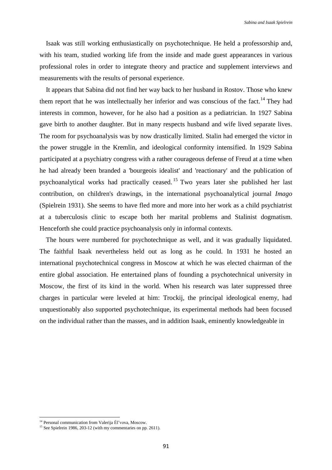Isaak was still working enthusiastically on psychotechnique. He held a professorship and, with his team, studied working life from the inside and made guest appearances in various professional roles in order to integrate theory and practice and supplement interviews and measurements with the results of personal experience.

It appears that Sabina did not find her way back to her husband in Rostov. Those who knew them report that he was intellectually her inferior and was conscious of the fact.<sup>14</sup> They had interests in common, however, for he also had a position as a pediatrician. In 1927 Sabina gave birth to another daughter. But in many respects husband and wife lived separate lives. The room for psychoanalysis was by now drastically limited. Stalin had emerged the victor in the power struggle in the Kremlin, and ideological conformity intensified. In 1929 Sabina participated at a psychiatry congress with a rather courageous defense of Freud at a time when he had already been branded a 'bourgeois idealist' and 'reactionary' and the publication of psychoanalytical works had practically ceased. <sup>15</sup> Two years later she published her last contribution, on children's drawings, in the international psychoanalytical journal *Imago* (Spielrein 1931). She seems to have fled more and more into her work as a child psychiatrist at a tuberculosis clinic to escape both her marital problems and Stalinist dogmatism. Henceforth she could practice psychoanalysis only in informal contexts.

The hours were numbered for psychotechnique as well, and it was gradually liquidated. The faithful Isaak nevertheless held out as long as he could. In 1931 he hosted an international psychotechnical congress in Moscow at which he was elected chairman of the entire global association. He entertained plans of founding a psychotechnical university in Moscow, the first of its kind in the world. When his research was later suppressed three charges in particular were leveled at him: Trockij, the principal ideological enemy, had unquestionably also supported psychotechnique, its experimental methods had been focused on the individual rather than the masses, and in addition Isaak, eminently knowledgeable in

<sup>&</sup>lt;sup>14</sup> Personal communication from Valerija Ėl'vova, Moscow.

<sup>&</sup>lt;sup>15</sup> See Spielrein 1986, 203-12 (with my commentaries on pp. 2611).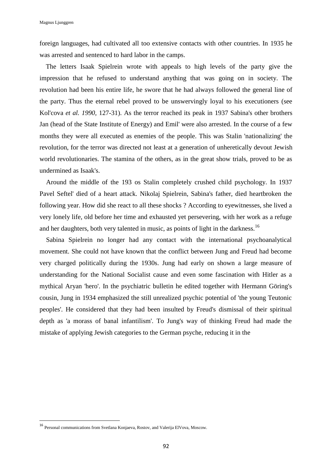foreign languages, had cultivated all too extensive contacts with other countries. In 1935 he was arrested and sentenced to hard labor in the camps.

The letters Isaak Spielrein wrote with appeals to high levels of the party give the impression that he refused to understand anything that was going on in society. The revolution had been his entire life, he swore that he had always followed the general line of the party. Thus the eternal rebel proved to be unswervingly loyal to his executioners (see Kol'cova *et al. 1990,* 127-31). As the terror reached its peak in 1937 Sabina's other brothers Jan (head of the State Institute of Energy) and Emil' were also arrested. In the course of a few months they were all executed as enemies of the people. This was Stalin 'nationalizing' the revolution, for the terror was directed not least at a generation of unheretically devout Jewish world revolutionaries. The stamina of the others, as in the great show trials, proved to be as undermined as Isaak's.

Around the middle of the 193 os Stalin completely crushed child psychology. In 1937 Pavel Seftel' died of a heart attack. Nikolaj Spielrein, Sabina's father, died heartbroken the following year. How did she react to all these shocks ? According to eyewitnesses, she lived a very lonely life, old before her time and exhausted yet persevering, with her work as a refuge and her daughters, both very talented in music, as points of light in the darkness.<sup>16</sup>

Sabina Spielrein no longer had any contact with the international psychoanalytical movement. She could not have known that the conflict between Jung and Freud had become very charged politically during the 1930s. Jung had early on shown a large measure of understanding for the National Socialist cause and even some fascination with Hitler as a mythical Aryan 'hero'. In the psychiatric bulletin he edited together with Hermann Göring's cousin, Jung in 1934 emphasized the still unrealized psychic potential of 'the young Teutonic peoples'. He considered that they had been insulted by Freud's dismissal of their spiritual depth as 'a morass of banal infantilism'. To Jung's way of thinking Freud had made the mistake of applying Jewish categories to the German psyche, reducing it in the

 $\overline{\phantom{a}}$ 

<sup>16</sup> Personal communications from Svetlana Konjaeva, Rostov, and Valerija ElVova, Moscow.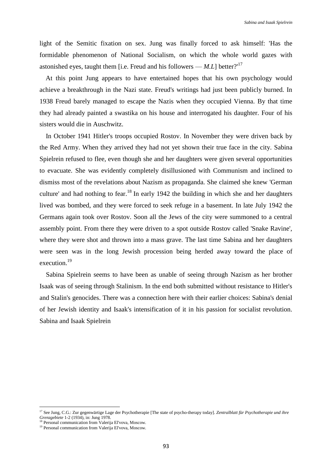light of the Semitic fixation on sex. Jung was finally forced to ask himself: 'Has the formidable phenomenon of National Socialism, on which the whole world gazes with astonished eyes, taught them [i.e. Freud and his followers  $-M.L$ ] better?<sup>17</sup>

At this point Jung appears to have entertained hopes that his own psychology would achieve a breakthrough in the Nazi state. Freud's writings had just been publicly burned. In 1938 Freud barely managed to escape the Nazis when they occupied Vienna. By that time they had already painted a swastika on his house and interrogated his daughter. Four of his sisters would die in Auschwitz.

In October 1941 Hitler's troops occupied Rostov. In November they were driven back by the Red Army. When they arrived they had not yet shown their true face in the city. Sabina Spielrein refused to flee, even though she and her daughters were given several opportunities to evacuate. She was evidently completely disillusioned with Communism and inclined to dismiss most of the revelations about Nazism as propaganda. She claimed she knew 'German culture' and had nothing to fear.<sup>18</sup> In early 1942 the building in which she and her daughters lived was bombed, and they were forced to seek refuge in a basement. In late July 1942 the Germans again took over Rostov. Soon all the Jews of the city were summoned to a central assembly point. From there they were driven to a spot outside Rostov called 'Snake Ravine', where they were shot and thrown into a mass grave. The last time Sabina and her daughters were seen was in the long Jewish procession being herded away toward the place of execution.<sup>19</sup>

Sabina Spielrein seems to have been as unable of seeing through Nazism as her brother Isaak was of seeing through Stalinism. In the end both submitted without resistance to Hitler's and Stalin's genocides. There was a connection here with their earlier choices: Sabina's denial of her Jewish identity and Isaak's intensification of it in his passion for socialist revolution. Sabina and Isaak Spielrein

l

<sup>17</sup> See Jung, C.G.: Zur gegenwärtige Lage der Psychotherapie [The state of psycho-therapy today]. *Zentralblatt für Psychotherapie und ihre Grenzgebiete* 1-2 (1934), in: Jung 1978.

<sup>&</sup>lt;sup>18</sup> Personal communication from Valerija El'vova, Moscow.

<sup>19</sup> Personal communication from Valerija El'vova, Moscow.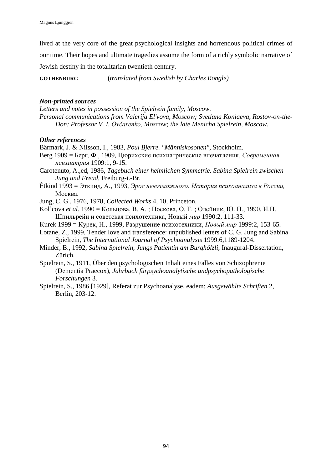lived at the very core of the great psychological insights and horrendous political crimes of our time. Their hopes and ultimate tragedies assume the form of a richly symbolic narrative of Jewish destiny in the totalitarian twentieth century.

**GOTHENBURG (***translated from Swedish by Charles Rongle)*

## *Non-printed sources*

*Letters and notes in possession of the Spielrein family, Moscow. Personal communications from Valerija El'vova, Moscow; Svetlana Koniaeva, Rostov-on-the-Don; Professor V. I. Ovčarenko, Moscow; the late Menicha Spielrein, Moscow.*

## *Other references*

Bärmark, J. & Nilsson, I., 1983, *Poul Bjerre. "Människosonen",* Stockholm.

Berg 1909 = Берг, Ф., 1909, Цюрихские психиатрические впечатления, *Современная психиатрия* 1909:1, 9-15.

Carotenuto, A.,ed, 1986, *Tagebuch einer heimlichen Symmetrie. Sabina Spielrein zwischen Jung und Freud,* Freiburg-i.-Br.

Ėtkind 1993 = Эткинд, А., 1993, *Эрос невозможного. История психоанализа в России,*  Москва.

Jung, С. G., 1976, 1978, *Collected Works* 4, 10, Princeton.

Kol'cova *et al.* 1990 = Кольцова, В. A. ; Носкова, О. Г. ; Олейник, Ю. Н., 1990, И.Н. Шпильрейн и советская психотехника, Новый *мир* 1990:2, 111-33.

Kurek 1999 = Курек, Н., 1999, Разрушение психотехники, *Новый мир* 1999:2, 153-65.

Lotane, Z., 1999, Tender love and transference: unpublished letters of C. G. Jung and Sabina Spielrein, *The International Journal of Psychoanalysis* 1999:6,1189-1204.

Minder, В., 1992, *Sabina Spielrein, Jungs Patientin am Burghölzli,* Inaugural-Dissertation, Zürich.

Spielrein, S., 1911, Über den psychologischen Inhalt eines Falles von Schizophrenie (Dementia Praecox), *Jahrbuch fürpsychoanalytische undpsychopathologische Forschungen* 3.

Spielrein, S., 1986 [1929], Referat zur Psychoanalyse, eadem: *Ausgewählte Schriften* 2, Berlin, 203-12.